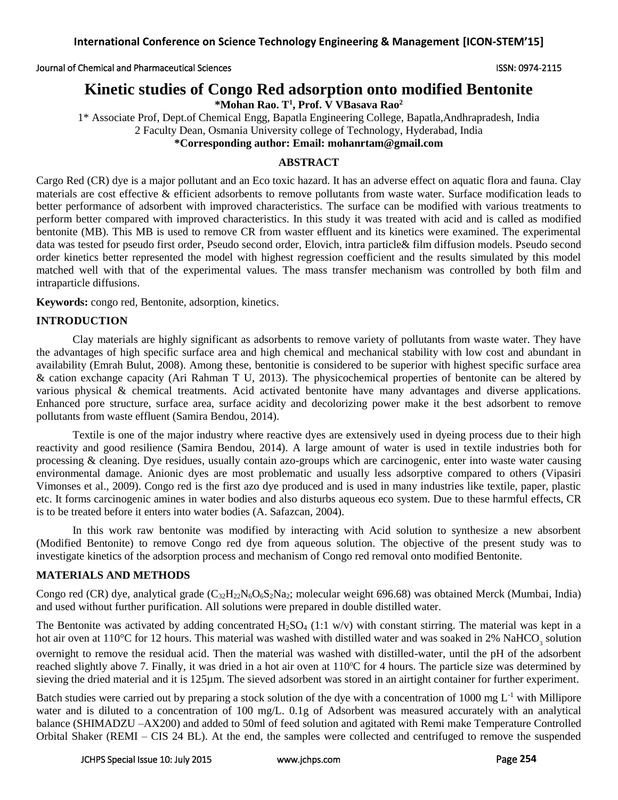Journal of Chemical and Pharmaceutical Sciences ISSN: 0974-2115

# **Kinetic studies of Congo Red adsorption onto modified Bentonite**

**\*Mohan Rao. T<sup>1</sup> , Prof. V VBasava Rao<sup>2</sup>**

1\* Associate Prof, Dept.of Chemical Engg, Bapatla Engineering College, Bapatla,Andhrapradesh, India 2 Faculty Dean, Osmania University college of Technology, Hyderabad, India **\*Corresponding author: Email: mohanrtam@gmail.com**

# **ABSTRACT**

Cargo Red (CR) dye is a major pollutant and an Eco toxic hazard. It has an adverse effect on aquatic flora and fauna. Clay materials are cost effective & efficient adsorbents to remove pollutants from waste water. Surface modification leads to better performance of adsorbent with improved characteristics. The surface can be modified with various treatments to perform better compared with improved characteristics. In this study it was treated with acid and is called as modified bentonite (MB). This MB is used to remove CR from waster effluent and its kinetics were examined. The experimental data was tested for pseudo first order, Pseudo second order, Elovich, intra particle& film diffusion models. Pseudo second order kinetics better represented the model with highest regression coefficient and the results simulated by this model matched well with that of the experimental values. The mass transfer mechanism was controlled by both film and intraparticle diffusions.

**Keywords:** congo red, Bentonite, adsorption, kinetics.

### **INTRODUCTION**

Clay materials are highly significant as adsorbents to remove variety of pollutants from waste water. They have the advantages of high specific surface area and high chemical and mechanical stability with low cost and abundant in availability (Emrah Bulut, 2008). Among these, bentonitie is considered to be superior with highest specific surface area & cation exchange capacity (Ari Rahman T U, 2013). The physicochemical properties of bentonite can be altered by various physical & chemical treatments. Acid activated bentonite have many advantages and diverse applications. Enhanced pore structure, surface area, surface acidity and decolorizing power make it the best adsorbent to remove pollutants from waste effluent (Samira Bendou, 2014).

Textile is one of the major industry where reactive dyes are extensively used in dyeing process due to their high reactivity and good resilience (Samira Bendou, 2014). A large amount of water is used in textile industries both for processing & cleaning. Dye residues, usually contain azo-groups which are carcinogenic, enter into waste water causing environmental damage. Anionic dyes are most problematic and usually less adsorptive compared to others (Vipasiri Vimonses et al., 2009). Congo red is the first azo dye produced and is used in many industries like textile, paper, plastic etc. It forms carcinogenic amines in water bodies and also disturbs aqueous eco system. Due to these harmful effects, CR is to be treated before it enters into water bodies (A. Safazcan, 2004).

In this work raw bentonite was modified by interacting with Acid solution to synthesize a new absorbent (Modified Bentonite) to remove Congo red dye from aqueous solution. The objective of the present study was to investigate kinetics of the adsorption process and mechanism of Congo red removal onto modified Bentonite.

# **MATERIALS AND METHODS**

Congo red (CR) dye, analytical grade  $(C_{32}H_{22}N_6O_6S_2Na_2$ ; molecular weight 696.68) was obtained Merck (Mumbai, India) and used without further purification. All solutions were prepared in double distilled water.

The Bentonite was activated by adding concentrated  $H_2SO_4$  (1:1 w/v) with constant stirring. The material was kept in a hot air oven at  $110^{\circ}$ C for 12 hours. This material was washed with distilled water and was soaked in 2% NaHCO<sub>3</sub> solution overnight to remove the residual acid. Then the material was washed with distilled-water, until the pH of the adsorbent reached slightly above 7. Finally, it was dried in a hot air oven at  $110^{\circ}$ C for 4 hours. The particle size was determined by sieving the dried material and it is 125µm. The sieved adsorbent was stored in an airtight container for further experiment.

Batch studies were carried out by preparing a stock solution of the dye with a concentration of 1000 mg  $L^{-1}$  with Millipore water and is diluted to a concentration of 100 mg/L. 0.1g of Adsorbent was measured accurately with an analytical balance (SHIMADZU –AX200) and added to 50ml of feed solution and agitated with Remi make Temperature Controlled Orbital Shaker (REMI – CIS 24 BL). At the end, the samples were collected and centrifuged to remove the suspended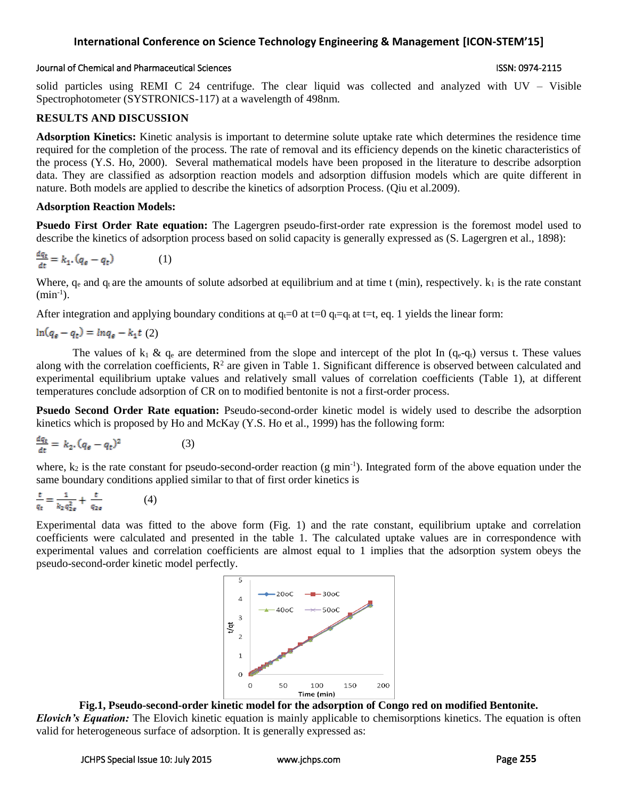### Journal of Chemical and Pharmaceutical Sciences ISSN: 0974-2115

solid particles using REMI C 24 centrifuge. The clear liquid was collected and analyzed with UV – Visible Spectrophotometer (SYSTRONICS-117) at a wavelength of 498nm.

### **RESULTS AND DISCUSSION**

**Adsorption Kinetics:** Kinetic analysis is important to determine solute uptake rate which determines the residence time required for the completion of the process. The rate of removal and its efficiency depends on the kinetic characteristics of the process (Y.S. Ho, 2000). Several mathematical models have been proposed in the literature to describe adsorption data. They are classified as adsorption reaction models and adsorption diffusion models which are quite different in nature. Both models are applied to describe the kinetics of adsorption Process. (Qiu et al.2009).

### **Adsorption Reaction Models:**

**Psuedo First Order Rate equation:** The Lagergren pseudo-first-order rate expression is the foremost model used to describe the kinetics of adsorption process based on solid capacity is generally expressed as (S. Lagergren et al., 1898):

$$
\frac{dq_t}{dt} = k_1 \cdot (q_\epsilon - q_t) \tag{1}
$$

Where,  $q_e$  and  $q_t$  are the amounts of solute adsorbed at equilibrium and at time t (min), respectively.  $k_1$  is the rate constant  $(min^{-1})$ .

After integration and applying boundary conditions at  $q_t=0$  at t=0  $q_t=q_t$  at t=t, eq. 1 yields the linear form:

$$
\ln(q_e - q_t) = \ln q_e - k_1 t \tag{2}
$$

The values of  $k_1 \& q_e$  are determined from the slope and intercept of the plot In (q<sub>e</sub>-q<sub>t</sub>) versus t. These values along with the correlation coefficients,  $R^2$  are given in Table 1. Significant difference is observed between calculated and experimental equilibrium uptake values and relatively small values of correlation coefficients (Table 1), at different temperatures conclude adsorption of CR on to modified bentonite is not a first-order process.

**Psuedo Second Order Rate equation:** Pseudo-second-order kinetic model is widely used to describe the adsorption kinetics which is proposed by Ho and McKay (Y.S. Ho et al., 1999) has the following form:

$$
\frac{dq_t}{dt} = k_2 \cdot (q_\epsilon - q_t)^2 \tag{3}
$$

where,  $k_2$  is the rate constant for pseudo-second-order reaction (g min<sup>-1</sup>). Integrated form of the above equation under the same boundary conditions applied similar to that of first order kinetics is

$$
\frac{t}{q_t} = \frac{1}{k_2 q_{2\varrho}^2} + \frac{t}{q_{2\varrho}}
$$
 (4)

Experimental data was fitted to the above form (Fig. 1) and the rate constant, equilibrium uptake and correlation coefficients were calculated and presented in the table 1. The calculated uptake values are in correspondence with experimental values and correlation coefficients are almost equal to 1 implies that the adsorption system obeys the pseudo-second-order kinetic model perfectly.



### **Fig.1, Pseudo-second-order kinetic model for the adsorption of Congo red on modified Bentonite.**

*Elovich's Equation:* The Elovich kinetic equation is mainly applicable to chemisorptions kinetics. The equation is often valid for heterogeneous surface of adsorption. It is generally expressed as: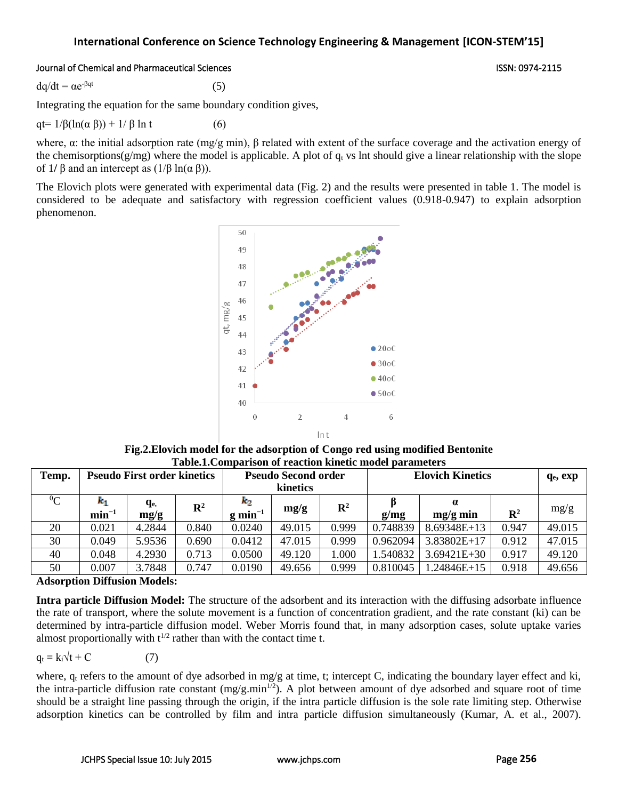### Journal of Chemical and Pharmaceutical Sciences **ISSN: 0974-2115** ISSN: 0974-2115

 $dq/dt = \alpha e^{-\beta qt}$  $(5)$ 

Integrating the equation for the same boundary condition gives,

qt=  $1/\beta(\ln(\alpha \beta)) + 1/\beta \ln t$  (6)

where, α: the initial adsorption rate (mg/g min), β related with extent of the surface coverage and the activation energy of the chemisorptions( $g/mg$ ) where the model is applicable. A plot of  $q_t$  vs lnt should give a linear relationship with the slope of  $1/\beta$  and an intercept as  $(1/\beta \ln(\alpha \beta))$ .

The Elovich plots were generated with experimental data (Fig. 2) and the results were presented in table 1. The model is considered to be adequate and satisfactory with regression coefficient values (0.918-0.947) to explain adsorption phenomenon.



**Fig.2.Elovich model for the adsorption of Congo red using modified Bentonite Table.1.Comparison of reaction kinetic model parameters**

| Temp.     | <b>Pseudo First order kinetics</b> |                         |                | <b>Pseudo Second order</b><br>kinetics |        |                | <b>Elovich Kinetics</b> |                        |                | q <sub>e</sub> , exp |
|-----------|------------------------------------|-------------------------|----------------|----------------------------------------|--------|----------------|-------------------------|------------------------|----------------|----------------------|
| ${}^{0}C$ | $\boldsymbol{k}_1$<br>$min^{-1}$   | q <sub>e,</sub><br>mg/g | $\mathbf{R}^2$ | $\kappa_2$<br>$g \text{min}^{-1}$      | mg/g   | $\mathbb{R}^2$ | g/mg                    | $\alpha$<br>$mg/g$ min | $\mathbb{R}^2$ | mg/g                 |
| 20        | 0.021                              | 4.2844                  | 0.840          | 0.0240                                 | 49.015 | 0.999          | 0.748839                | $8.69348E+13$          | 0.947          | 49.015               |
| 30        | 0.049                              | 5.9536                  | 0.690          | 0.0412                                 | 47.015 | 0.999          | 0.962094                | 3.83802E+17            | 0.912          | 47.015               |
| 40        | 0.048                              | 4.2930                  | 0.713          | 0.0500                                 | 49.120 | .000           | 1.540832                | $3.69421E + 30$        | 0.917          | 49.120               |
| 50        | 0.007                              | 3.7848                  | 0.747          | 0.0190                                 | 49.656 | 0.999          | 0.810045                | $1.24846E+15$          | 0.918          | 49.656               |

### **Adsorption Diffusion Models:**

**Intra particle Diffusion Model:** The structure of the adsorbent and its interaction with the diffusing adsorbate influence the rate of transport, where the solute movement is a function of concentration gradient, and the rate constant (ki) can be determined by intra-particle diffusion model. Weber Morris found that, in many adsorption cases, solute uptake varies almost proportionally with  $t^{1/2}$  rather than with the contact time t.

$$
q_t = k_i \sqrt{t + C} \tag{7}
$$

where,  $q_t$  refers to the amount of dye adsorbed in mg/g at time, t; intercept C, indicating the boundary layer effect and ki, the intra-particle diffusion rate constant  $(mg/g.min<sup>1/2</sup>)$ . A plot between amount of dye adsorbed and square root of time should be a straight line passing through the origin, if the intra particle diffusion is the sole rate limiting step. Otherwise adsorption kinetics can be controlled by film and intra particle diffusion simultaneously (Kumar, A. et al., 2007).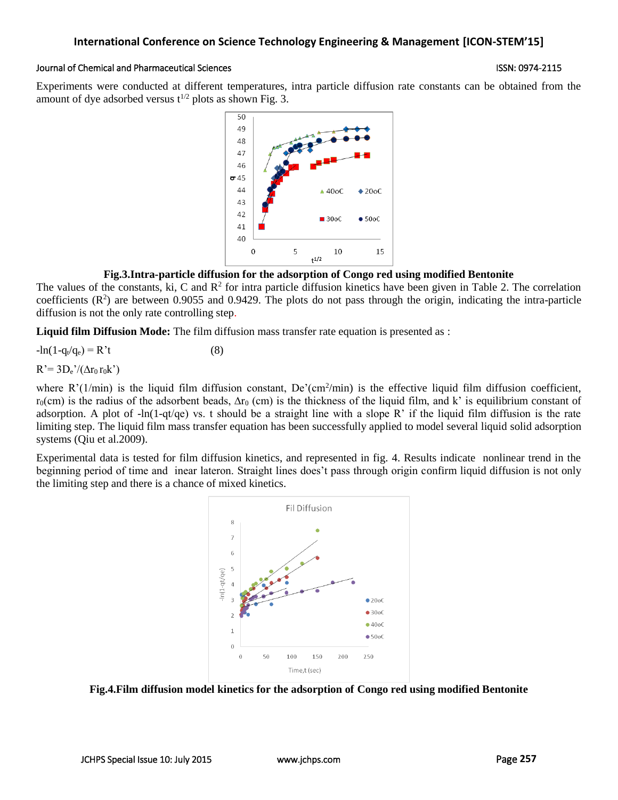### Journal of Chemical and Pharmaceutical Sciences **ISSN: 0974-2115** ISSN: 0974-2115

Experiments were conducted at different temperatures, intra particle diffusion rate constants can be obtained from the amount of dye adsorbed versus  $t^{1/2}$  plots as shown Fig. 3.



### **Fig.3.Intra-particle diffusion for the adsorption of Congo red using modified Bentonite**

The values of the constants, ki, C and  $\mathbb{R}^2$  for intra particle diffusion kinetics have been given in Table 2. The correlation coefficients  $(R^2)$  are between 0.9055 and 0.9429. The plots do not pass through the origin, indicating the intra-particle diffusion is not the only rate controlling step.

**Liquid film Diffusion Mode:** The film diffusion mass transfer rate equation is presented as :

 $-\ln(1-q_t/q_e) = R't$  (8)

 $R' = 3D_e' / (\Delta r_0 r_0 k')$ 

where  $R'(1/min)$  is the liquid film diffusion constant,  $De'(cm^2/min)$  is the effective liquid film diffusion coefficient,  $r_0$ (cm) is the radius of the adsorbent beads,  $\Delta r_0$  (cm) is the thickness of the liquid film, and k' is equilibrium constant of adsorption. A plot of  $-\ln(1-qt/qe)$  vs. t should be a straight line with a slope R' if the liquid film diffusion is the rate limiting step. The liquid film mass transfer equation has been successfully applied to model several liquid solid adsorption systems (Qiu et al.2009).

Experimental data is tested for film diffusion kinetics, and represented in fig. 4. Results indicate nonlinear trend in the beginning period of time and inear lateron. Straight lines does't pass through origin confirm liquid diffusion is not only the limiting step and there is a chance of mixed kinetics.